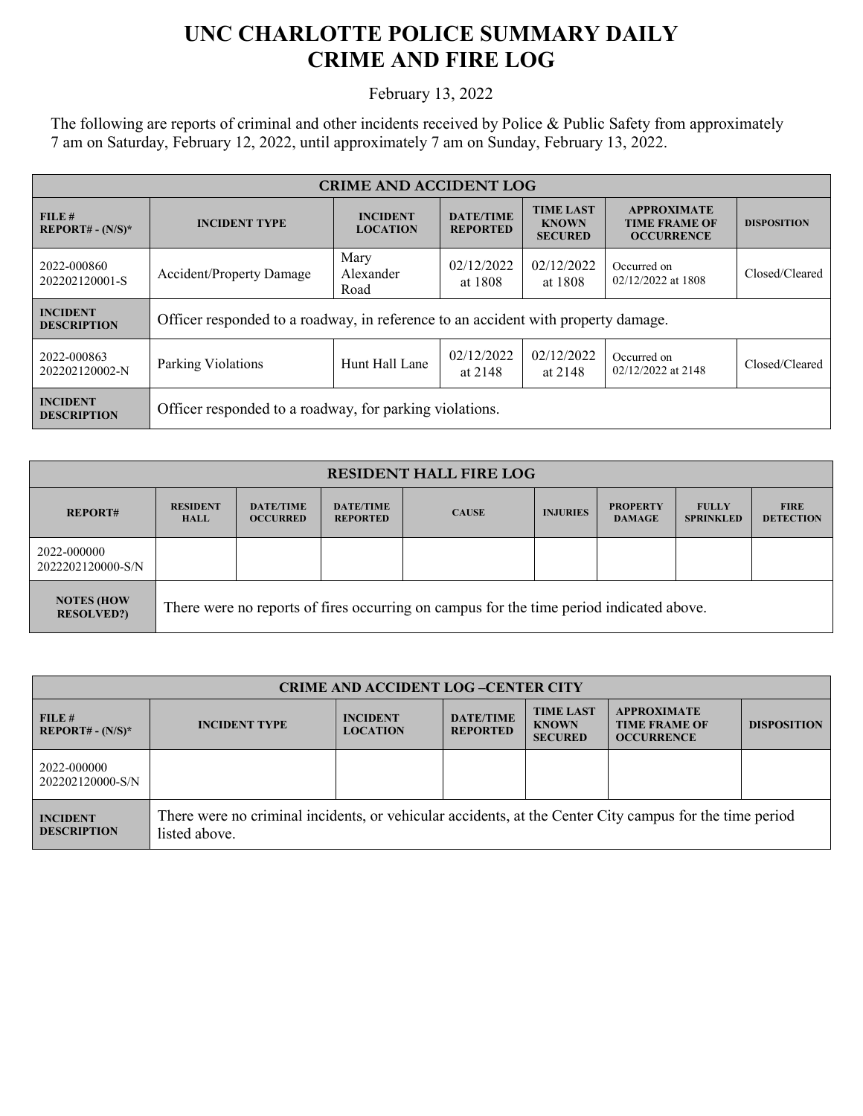## **UNC CHARLOTTE POLICE SUMMARY DAILY CRIME AND FIRE LOG**

February 13, 2022

The following are reports of criminal and other incidents received by Police & Public Safety from approximately 7 am on Saturday, February 12, 2022, until approximately 7 am on Sunday, February 13, 2022.

| <b>CRIME AND ACCIDENT LOG</b>         |                                                                                   |                                    |                                     |                                                    |                                                                 |                    |  |
|---------------------------------------|-----------------------------------------------------------------------------------|------------------------------------|-------------------------------------|----------------------------------------------------|-----------------------------------------------------------------|--------------------|--|
| FILE#<br>$REPORT# - (N/S)*$           | <b>INCIDENT TYPE</b>                                                              | <b>INCIDENT</b><br><b>LOCATION</b> | <b>DATE/TIME</b><br><b>REPORTED</b> | <b>TIME LAST</b><br><b>KNOWN</b><br><b>SECURED</b> | <b>APPROXIMATE</b><br><b>TIME FRAME OF</b><br><b>OCCURRENCE</b> | <b>DISPOSITION</b> |  |
| 2022-000860<br>202202120001-S         | <b>Accident/Property Damage</b>                                                   | Mary<br>Alexander<br>Road          | 02/12/2022<br>at 1808               | 02/12/2022<br>at 1808                              | Occurred on<br>02/12/2022 at 1808                               | Closed/Cleared     |  |
| <b>INCIDENT</b><br><b>DESCRIPTION</b> | Officer responded to a roadway, in reference to an accident with property damage. |                                    |                                     |                                                    |                                                                 |                    |  |
| 2022-000863<br>202202120002-N         | Parking Violations                                                                | Hunt Hall Lane                     | 02/12/2022<br>at 2148               | 02/12/2022<br>at 2148                              | Occurred on<br>02/12/2022 at 2148                               | Closed/Cleared     |  |
| <b>INCIDENT</b><br><b>DESCRIPTION</b> | Officer responded to a roadway, for parking violations.                           |                                    |                                     |                                                    |                                                                 |                    |  |

| <b>RESIDENT HALL FIRE LOG</b>           |                                                                                         |                                     |                                     |              |                 |                                  |                                  |                                 |
|-----------------------------------------|-----------------------------------------------------------------------------------------|-------------------------------------|-------------------------------------|--------------|-----------------|----------------------------------|----------------------------------|---------------------------------|
| <b>REPORT#</b>                          | <b>RESIDENT</b><br><b>HALL</b>                                                          | <b>DATE/TIME</b><br><b>OCCURRED</b> | <b>DATE/TIME</b><br><b>REPORTED</b> | <b>CAUSE</b> | <b>INJURIES</b> | <b>PROPERTY</b><br><b>DAMAGE</b> | <b>FULLY</b><br><b>SPRINKLED</b> | <b>FIRE</b><br><b>DETECTION</b> |
| 2022-000000<br>2022202120000-S/N        |                                                                                         |                                     |                                     |              |                 |                                  |                                  |                                 |
| <b>NOTES (HOW)</b><br><b>RESOLVED?)</b> | There were no reports of fires occurring on campus for the time period indicated above. |                                     |                                     |              |                 |                                  |                                  |                                 |

| <b>CRIME AND ACCIDENT LOG-CENTER CITY</b> |                                                                                                                          |                                    |                                     |                                                    |                                                                 |                    |
|-------------------------------------------|--------------------------------------------------------------------------------------------------------------------------|------------------------------------|-------------------------------------|----------------------------------------------------|-----------------------------------------------------------------|--------------------|
| FILE#<br>$REPORT# - (N/S)*$               | <b>INCIDENT TYPE</b>                                                                                                     | <b>INCIDENT</b><br><b>LOCATION</b> | <b>DATE/TIME</b><br><b>REPORTED</b> | <b>TIME LAST</b><br><b>KNOWN</b><br><b>SECURED</b> | <b>APPROXIMATE</b><br><b>TIME FRAME OF</b><br><b>OCCURRENCE</b> | <b>DISPOSITION</b> |
| 2022-000000<br>202202120000-S/N           |                                                                                                                          |                                    |                                     |                                                    |                                                                 |                    |
| <b>INCIDENT</b><br><b>DESCRIPTION</b>     | There were no criminal incidents, or vehicular accidents, at the Center City campus for the time period<br>listed above. |                                    |                                     |                                                    |                                                                 |                    |